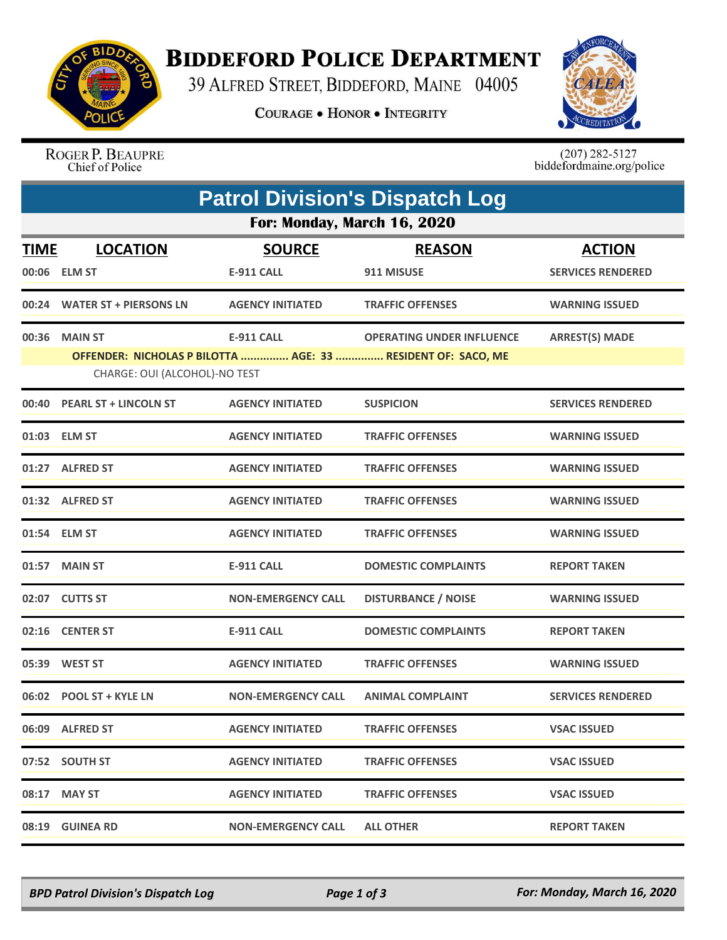

## **BIDDEFORD POLICE DEPARTMENT**

39 ALFRED STREET, BIDDEFORD, MAINE 04005

**COURAGE . HONOR . INTEGRITY** 



ROGER P. BEAUPRE Chief of Police

 $(207)$  282-5127<br>biddefordmaine.org/police

|                             | <b>Patrol Division's Dispatch Log</b>                                                         |                           |                                  |                          |  |  |  |  |
|-----------------------------|-----------------------------------------------------------------------------------------------|---------------------------|----------------------------------|--------------------------|--|--|--|--|
| For: Monday, March 16, 2020 |                                                                                               |                           |                                  |                          |  |  |  |  |
| <b>TIME</b>                 | <b>LOCATION</b>                                                                               | <b>SOURCE</b>             | <b>REASON</b>                    | <b>ACTION</b>            |  |  |  |  |
|                             | 00:06 ELM ST                                                                                  | <b>E-911 CALL</b>         | 911 MISUSE                       | <b>SERVICES RENDERED</b> |  |  |  |  |
|                             | 00:24 WATER ST + PIERSONS LN                                                                  | <b>AGENCY INITIATED</b>   | <b>TRAFFIC OFFENSES</b>          | <b>WARNING ISSUED</b>    |  |  |  |  |
|                             | 00:36 MAIN ST                                                                                 | <b>E-911 CALL</b>         | <b>OPERATING UNDER INFLUENCE</b> | <b>ARREST(S) MADE</b>    |  |  |  |  |
|                             | OFFENDER: NICHOLAS P BILOTTA  AGE: 33  RESIDENT OF: SACO, ME<br>CHARGE: OUI (ALCOHOL)-NO TEST |                           |                                  |                          |  |  |  |  |
|                             | 00:40 PEARL ST + LINCOLN ST                                                                   | <b>AGENCY INITIATED</b>   | <b>SUSPICION</b>                 | <b>SERVICES RENDERED</b> |  |  |  |  |
|                             | 01:03 ELM ST                                                                                  | <b>AGENCY INITIATED</b>   | <b>TRAFFIC OFFENSES</b>          | <b>WARNING ISSUED</b>    |  |  |  |  |
|                             | 01:27 ALFRED ST                                                                               | <b>AGENCY INITIATED</b>   | <b>TRAFFIC OFFENSES</b>          | <b>WARNING ISSUED</b>    |  |  |  |  |
|                             | 01:32 ALFRED ST                                                                               | <b>AGENCY INITIATED</b>   | <b>TRAFFIC OFFENSES</b>          | <b>WARNING ISSUED</b>    |  |  |  |  |
|                             | 01:54 ELM ST                                                                                  | <b>AGENCY INITIATED</b>   | <b>TRAFFIC OFFENSES</b>          | <b>WARNING ISSUED</b>    |  |  |  |  |
|                             | 01:57 MAIN ST                                                                                 | <b>E-911 CALL</b>         | <b>DOMESTIC COMPLAINTS</b>       | <b>REPORT TAKEN</b>      |  |  |  |  |
| 02:07                       | <b>CUTTS ST</b>                                                                               | <b>NON-EMERGENCY CALL</b> | <b>DISTURBANCE / NOISE</b>       | <b>WARNING ISSUED</b>    |  |  |  |  |
|                             | 02:16 CENTER ST                                                                               | <b>E-911 CALL</b>         | <b>DOMESTIC COMPLAINTS</b>       | <b>REPORT TAKEN</b>      |  |  |  |  |
|                             | 05:39 WEST ST                                                                                 | <b>AGENCY INITIATED</b>   | <b>TRAFFIC OFFENSES</b>          | <b>WARNING ISSUED</b>    |  |  |  |  |
|                             | 06:02 POOL ST + KYLE LN                                                                       | <b>NON-EMERGENCY CALL</b> | <b>ANIMAL COMPLAINT</b>          | <b>SERVICES RENDERED</b> |  |  |  |  |
|                             | 06:09 ALFRED ST                                                                               | <b>AGENCY INITIATED</b>   | <b>TRAFFIC OFFENSES</b>          | <b>VSAC ISSUED</b>       |  |  |  |  |
|                             | 07:52 SOUTH ST                                                                                | <b>AGENCY INITIATED</b>   | <b>TRAFFIC OFFENSES</b>          | <b>VSAC ISSUED</b>       |  |  |  |  |
|                             | 08:17 MAY ST                                                                                  | <b>AGENCY INITIATED</b>   | <b>TRAFFIC OFFENSES</b>          | <b>VSAC ISSUED</b>       |  |  |  |  |
|                             | 08:19 GUINEA RD                                                                               | <b>NON-EMERGENCY CALL</b> | <b>ALL OTHER</b>                 | <b>REPORT TAKEN</b>      |  |  |  |  |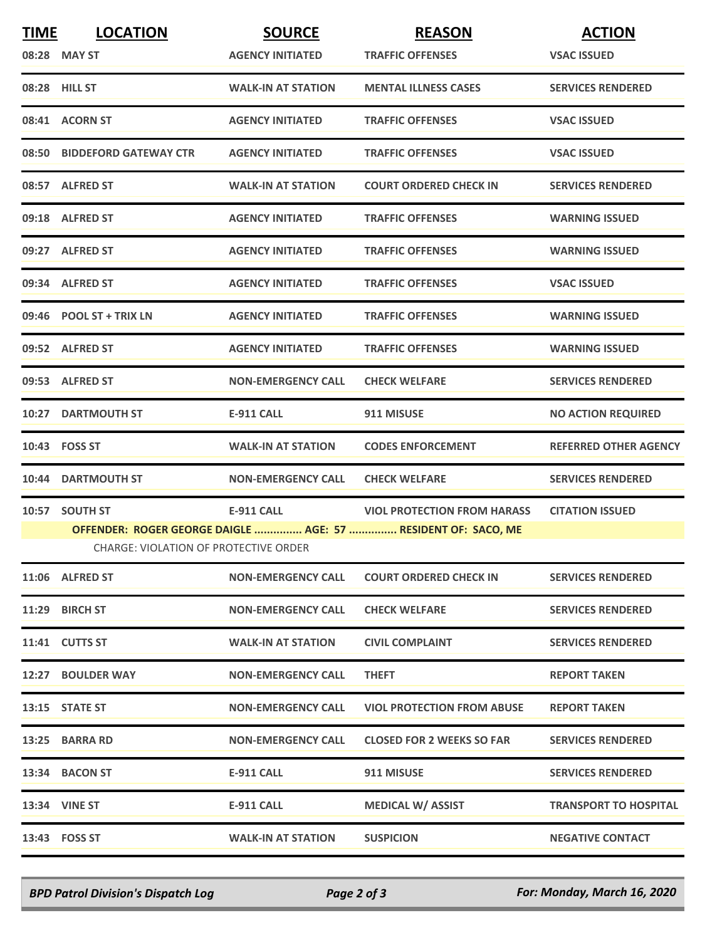| <b>TIME</b> | <b>LOCATION</b>                              | <b>SOURCE</b>             | <b>REASON</b>                                                 | <b>ACTION</b>                |
|-------------|----------------------------------------------|---------------------------|---------------------------------------------------------------|------------------------------|
|             | 08:28 MAY ST                                 | <b>AGENCY INITIATED</b>   | <b>TRAFFIC OFFENSES</b>                                       | <b>VSAC ISSUED</b>           |
|             | 08:28 HILL ST                                | <b>WALK-IN AT STATION</b> | <b>MENTAL ILLNESS CASES</b>                                   | <b>SERVICES RENDERED</b>     |
|             | 08:41 ACORN ST                               | <b>AGENCY INITIATED</b>   | <b>TRAFFIC OFFENSES</b>                                       | <b>VSAC ISSUED</b>           |
|             | 08:50 BIDDEFORD GATEWAY CTR                  | <b>AGENCY INITIATED</b>   | <b>TRAFFIC OFFENSES</b>                                       | <b>VSAC ISSUED</b>           |
|             | 08:57 ALFRED ST                              | <b>WALK-IN AT STATION</b> | <b>COURT ORDERED CHECK IN</b>                                 | <b>SERVICES RENDERED</b>     |
|             | 09:18 ALFRED ST                              | <b>AGENCY INITIATED</b>   | <b>TRAFFIC OFFENSES</b>                                       | <b>WARNING ISSUED</b>        |
|             | 09:27 ALFRED ST                              | <b>AGENCY INITIATED</b>   | <b>TRAFFIC OFFENSES</b>                                       | <b>WARNING ISSUED</b>        |
|             | 09:34 ALFRED ST                              | <b>AGENCY INITIATED</b>   | <b>TRAFFIC OFFENSES</b>                                       | <b>VSAC ISSUED</b>           |
|             | 09:46 POOL ST + TRIX LN                      | <b>AGENCY INITIATED</b>   | <b>TRAFFIC OFFENSES</b>                                       | <b>WARNING ISSUED</b>        |
|             | 09:52 ALFRED ST                              | <b>AGENCY INITIATED</b>   | <b>TRAFFIC OFFENSES</b>                                       | <b>WARNING ISSUED</b>        |
|             | 09:53 ALFRED ST                              | <b>NON-EMERGENCY CALL</b> | <b>CHECK WELFARE</b>                                          | <b>SERVICES RENDERED</b>     |
|             | <b>10:27 DARTMOUTH ST</b>                    | <b>E-911 CALL</b>         | 911 MISUSE                                                    | <b>NO ACTION REQUIRED</b>    |
|             | 10:43 FOSS ST                                | <b>WALK-IN AT STATION</b> | <b>CODES ENFORCEMENT</b>                                      | <b>REFERRED OTHER AGENCY</b> |
|             | 10:44 DARTMOUTH ST                           | <b>NON-EMERGENCY CALL</b> | <b>CHECK WELFARE</b>                                          | <b>SERVICES RENDERED</b>     |
|             | 10:57 SOUTH ST                               | <b>E-911 CALL</b>         | <b>VIOL PROTECTION FROM HARASS</b>                            | <b>CITATION ISSUED</b>       |
|             | <b>CHARGE: VIOLATION OF PROTECTIVE ORDER</b> |                           | OFFENDER: ROGER GEORGE DAIGLE  AGE: 57  RESIDENT OF: SACO, ME |                              |
|             | 11:06 ALFRED ST                              | <b>NON-EMERGENCY CALL</b> | <b>COURT ORDERED CHECK IN</b>                                 | <b>SERVICES RENDERED</b>     |
|             | 11:29 BIRCH ST                               | <b>NON-EMERGENCY CALL</b> | <b>CHECK WELFARE</b>                                          | <b>SERVICES RENDERED</b>     |
|             | 11:41 CUTTS ST                               | <b>WALK-IN AT STATION</b> | <b>CIVIL COMPLAINT</b>                                        | <b>SERVICES RENDERED</b>     |
|             | 12:27 BOULDER WAY                            | <b>NON-EMERGENCY CALL</b> | <b>THEFT</b>                                                  | <b>REPORT TAKEN</b>          |
|             | 13:15 STATE ST                               | <b>NON-EMERGENCY CALL</b> | <b>VIOL PROTECTION FROM ABUSE</b>                             | <b>REPORT TAKEN</b>          |
|             | 13:25 BARRA RD                               | <b>NON-EMERGENCY CALL</b> | <b>CLOSED FOR 2 WEEKS SO FAR</b>                              | <b>SERVICES RENDERED</b>     |
|             | 13:34 BACON ST                               | <b>E-911 CALL</b>         | 911 MISUSE                                                    | <b>SERVICES RENDERED</b>     |
|             | 13:34 VINE ST                                | <b>E-911 CALL</b>         | <b>MEDICAL W/ ASSIST</b>                                      | <b>TRANSPORT TO HOSPITAL</b> |
|             | 13:43 FOSS ST                                | <b>WALK-IN AT STATION</b> | <b>SUSPICION</b>                                              | <b>NEGATIVE CONTACT</b>      |

*BPD Patrol Division's Dispatch Log Page 2 of 3 For: Monday, March 16, 2020*